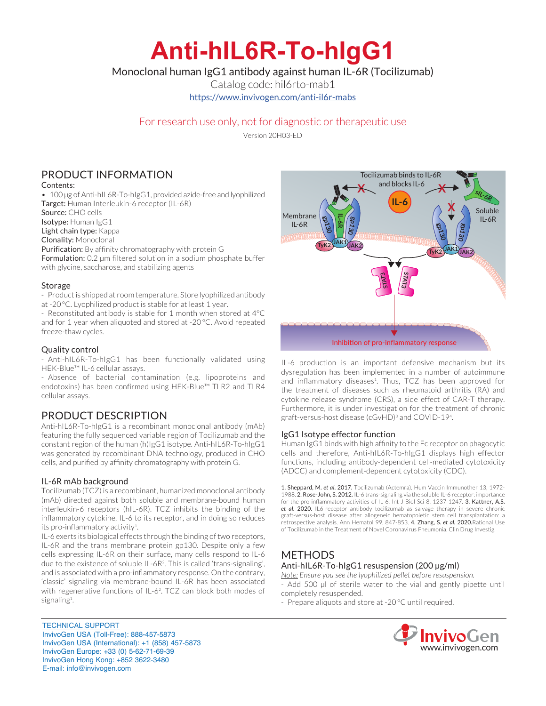# **Anti-hIL6R-To-hIgG1**

Monoclonal human IgG1 antibody against human IL-6R (Tocilizumab)

Catalog code: hil6rto-mab1

https://www.invivogen.com/anti-il6r-mabs

# For research use only, not for diagnostic or therapeutic use

Version 20H03-ED

# PRODUCT INFORMATION

#### Contents:

• 100 µg of Anti-hIL6R-To-hIgG1, provided azide-free and lyophilized Target: Human Interleukin-6 receptor (IL-6R)

Source: CHO cells

Isotype: Human IgG1

Light chain type: Kappa

Clonality: Monoclonal

Purification: By affinity chromatography with protein G

Formulation: 0.2 µm filtered solution in a sodium phosphate buffer with glycine, saccharose, and stabilizing agents

#### **Storage**

- Product is shipped at room temperature. Store lyophilized antibody at -20 °C. Lyophilized product is stable for at least 1 year.

- Reconstituted antibody is stable for 1 month when stored at 4°C and for 1 year when aliquoted and stored at -20 °C. Avoid repeated freeze-thaw cycles.

#### Quality control

- Anti-hIL6R-To-hIgG1 has been functionally validated using HEK-Blue™ IL-6 cellular assays.

- Absence of bacterial contamination (e.g. lipoproteins and endotoxins) has been confirmed using HEK-Blue™ TLR2 and TLR4 cellular assays.

## PRODUCT DESCRIPTION

Anti-hIL6R-To-hIgG1 is a recombinant monoclonal antibody (mAb) featuring the fully sequenced variable region of Tocilizumab and the constant region of the human (h)IgG1 isotype. Anti-hIL6R-To-hIgG1 was generated by recombinant DNA technology, produced in CHO cells, and purified by affinity chromatography with protein G.

#### IL-6R mAb background

Tocilizumab (TCZ) is a recombinant, humanized monoclonal antibody (mAb) directed against both soluble and membrane-bound human interleukin-6 receptors (hIL-6R). TCZ inhibits the binding of the inflammatory cytokine, IL-6 to its receptor, and in doing so reduces its pro-inflammatory activity<sup>1</sup>.

IL-6 exerts its biological effects through the binding of two receptors, IL-6R and the trans membrane protein gp130. Despite only a few cells expressing IL-6R on their surface, many cells respond to IL-6 due to the existence of soluble IL-6R2 . This is called 'trans-signaling', and is associated with a pro-inflammatory response. On the contrary, 'classic' signaling via membrane-bound IL-6R has been associated with regenerative functions of IL-62 . TCZ can block both modes of signaling<sup>1</sup>. .

TECHNICAL SUPPORT InvivoGen USA (Toll‑Free): 888-457-5873 InvivoGen USA (International): +1 (858) 457-5873 InvivoGen Europe: +33 (0) 5-62-71-69-39 InvivoGen Hong Kong: +852 3622-3480 E-mail: info@invivogen.com



IL-6 production is an important defensive mechanism but its dysregulation has been implemented in a number of autoimmune and inflammatory diseases<sup>1</sup>. Thus, TCZ has been approved for the treatment of diseases such as rheumatoid arthritis (RA) and cytokine release syndrome (CRS), a side effect of CAR-T therapy. Furthermore, it is under investigation for the treatment of chronic graft-versus-host disease (cGvHD)<sup>3</sup> and COVID-19<sup>4</sup>.

#### IgG1 Isotype effector function

Human IgG1 binds with high affinity to the Fc receptor on phagocytic cells and therefore, Anti-hIL6R-To-hIgG1 displays high effector functions, including antibody-dependent cell-mediated cytotoxicity (ADCC) and complement-dependent cytotoxicity (CDC).

1. Sheppard, M. *et al*. 2017. Tocilizumab (Actemra). Hum Vaccin Immunother 13, 1972- 1988. 2. Rose-John, S. 2012. IL-6 trans-signaling via the soluble IL-6 receptor: importance for the pro-inflammatory activities of IL-6. Int J Biol Sci 8, 1237-1247. 3. Kattner, A.S. *et al*. 2020. IL6-receptor antibody tocilizumab as salvage therapy in severe chronic graft-versus-host disease after allogeneic hematopoietic stem cell transplantation: a retrospective analysis. Ann Hematol 99, 847-853. 4. Zhang, S. *et al.* 2020.Rational Use of Tocilizumab in the Treatment of Novel Coronavirus Pneumonia. Clin Drug Investig.

# METHODS

#### Anti-hIL6R-To-hIgG1 resuspension (200 µg/ml)

*Note: Ensure you see the lyophilized pellet before resuspension.* - Add 500 µl of sterile water to the vial and gently pipette until completely resuspended.

- Prepare aliquots and store at -20 °C until required.